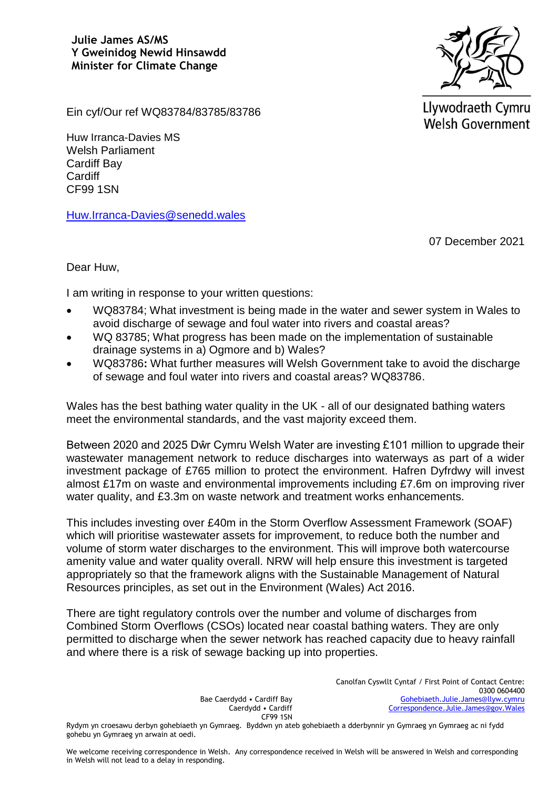**Julie James AS/MS Y Gweinidog Newid Hinsawdd Minister for Climate Change**



Llywodraeth Cymru **Welsh Government** 

Ein cyf/Our ref WQ83784/83785/83786

Huw Irranca-Davies MS Welsh Parliament Cardiff Bay **Cardiff** CF99 1SN

[Huw.Irranca-Davies@senedd.wales](mailto:Huw.Irranca-Davies@senedd.wales)

07 December 2021

Dear Huw,

I am writing in response to your written questions:

- WQ83784; What investment is being made in the water and sewer system in Wales to avoid discharge of sewage and foul water into rivers and coastal areas?
- WQ 83785; What progress has been made on the implementation of sustainable drainage systems in a) Ogmore and b) Wales?
- WQ83786**:** What further measures will Welsh Government take to avoid the discharge of sewage and foul water into rivers and coastal areas? WQ83786.

Wales has the best bathing water quality in the UK - all of our designated bathing waters meet the environmental standards, and the vast majority exceed them.

Between 2020 and 2025 Dŵr Cymru Welsh Water are investing £101 million to upgrade their wastewater management network to reduce discharges into waterways as part of a wider investment package of £765 million to protect the environment. Hafren Dyfrdwy will invest almost £17m on waste and environmental improvements including £7.6m on improving river water quality, and £3.3m on waste network and treatment works enhancements.

This includes investing over £40m in the Storm Overflow Assessment Framework (SOAF) which will prioritise wastewater assets for improvement, to reduce both the number and volume of storm water discharges to the environment. This will improve both watercourse amenity value and water quality overall. NRW will help ensure this investment is targeted appropriately so that the framework aligns with the Sustainable Management of Natural Resources principles, as set out in the Environment (Wales) Act 2016.

There are tight regulatory controls over the number and volume of discharges from Combined Storm Overflows (CSOs) located near coastal bathing waters. They are only permitted to discharge when the sewer network has reached capacity due to heavy rainfall and where there is a risk of sewage backing up into properties.

> Bae Caerdydd • Cardiff Bay Caerdydd • Cardiff CF99 1SN

Canolfan Cyswllt Cyntaf / First Point of Contact Centre: 0300 0604400 [Gohebiaeth.Julie.James@llyw.cymru](mailto:Gohebiaeth.Julie.James@llyw.cymru) [Correspondence.Julie.James@gov.Wales](mailto:Correspondence.Julie.James@gov.Wales)

Rydym yn croesawu derbyn gohebiaeth yn Gymraeg. Byddwn yn ateb gohebiaeth a dderbynnir yn Gymraeg yn Gymraeg ac ni fydd gohebu yn Gymraeg yn arwain at oedi.

We welcome receiving correspondence in Welsh. Any correspondence received in Welsh will be answered in Welsh and corresponding in Welsh will not lead to a delay in responding.